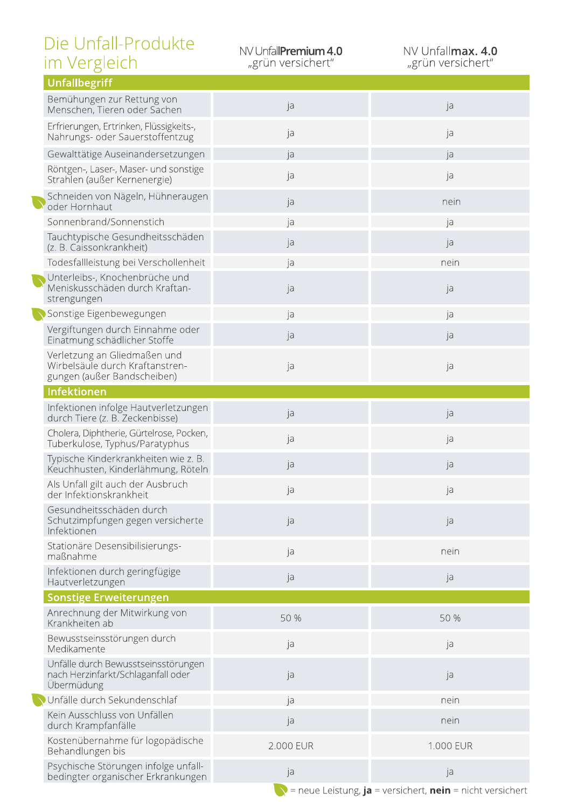| Die Unfall-Produkte<br>im Vergleich                                                                                            | NV UnfallPremium 4.0<br>"grün versichert" | NV Unfallmax. 4.0<br>"grün versichert" |
|--------------------------------------------------------------------------------------------------------------------------------|-------------------------------------------|----------------------------------------|
| <b>Unfallbegriff</b>                                                                                                           |                                           |                                        |
| Bemühungen zur Rettung von<br>Menschen, Tieren oder Sachen                                                                     | ja                                        | ja                                     |
| Erfrierungen, Ertrinken, Flüssigkeits-,<br>Nahrungs- oder Sauerstoffentzug                                                     | ja                                        | ja                                     |
| Gewalttätige Auseinandersetzungen                                                                                              | ja                                        | ja                                     |
| Röntgen-, Laser-, Maser- und sonstige<br>Strahlen (außer Kernenergie)                                                          | ja                                        | ja                                     |
| Schneiden von Nägeln, Hühneraugen<br>oder Hornhaut                                                                             | ja                                        | nein                                   |
| Sonnenbrand/Sonnenstich                                                                                                        | ja                                        | ja                                     |
| Tauchtypische Gesundheitsschäden<br>(z. B. Caissonkrankheit)                                                                   | ja                                        | ja                                     |
| Todesfallleistung bei Verschollenheit                                                                                          | ja                                        | nein                                   |
| Unterleibs-, Knochenbrüche und<br>Meniskusschäden durch Kraftan-                                                               | ja                                        | ja                                     |
| strengungen<br>Sonstige Eigenbewegungen                                                                                        | ja                                        | ja                                     |
| Vergiftungen durch Einnahme oder                                                                                               | ja                                        | ja                                     |
| Einatmung schädlicher Stoffe<br>Verletzung an Gliedmaßen und<br>Wirbelsäule durch Kraftanstren-<br>gungen (außer Bandscheiben) | ja                                        | ja                                     |
| Infektionen                                                                                                                    |                                           |                                        |
| Infektionen infolge Hautverletzungen<br>durch Tiere (z. B. Zeckenbisse)                                                        | ja                                        | ja                                     |
| Cholera, Diphtherie, Gürtelrose, Pocken,<br>Tuberkulose, Typhus/Paratyphus                                                     | ja                                        | ja                                     |
| Typische Kinderkrankheiten wie z. B.<br>Keuchhusten, Kinderlähmung, Röteln                                                     | ja                                        | ja                                     |
| Als Unfall gilt auch der Ausbruch<br>der Infektionskrankheit                                                                   | ja                                        | ja                                     |
| Gesundheitsschäden durch<br>Schutzimpfungen gegen versicherte<br>Infektionen                                                   | ja                                        | ja                                     |
| Stationäre Desensibilisierungs-<br>maßnahme                                                                                    | ja                                        | nein                                   |
| Infektionen durch geringfügige<br>Hautverletzungen                                                                             | ja                                        | ja                                     |
| <b>Sonstige Erweiterungen</b>                                                                                                  |                                           |                                        |
| Anrechnung der Mitwirkung von<br>Krankheiten ab                                                                                | 50 %                                      | 50 %                                   |
| Bewusstseinsstörungen durch<br>Medikamente                                                                                     | ja                                        | ja                                     |
| Unfälle durch Bewusstseinsstörungen<br>nach Herzinfarkt/Schlaganfall oder<br>Übermüdung                                        | ja                                        | ja                                     |
| Unfälle durch Sekundenschlaf                                                                                                   | ja                                        | nein                                   |
| Kein Ausschluss von Unfällen<br>durch Krampfanfälle                                                                            | ja                                        | nein                                   |
| Kostenübernahme für logopädische<br>Behandlungen bis                                                                           | 2.000 EUR                                 | 1.000 EUR                              |
| Psychische Störungen infolge unfall-                                                                                           | ja                                        | ja                                     |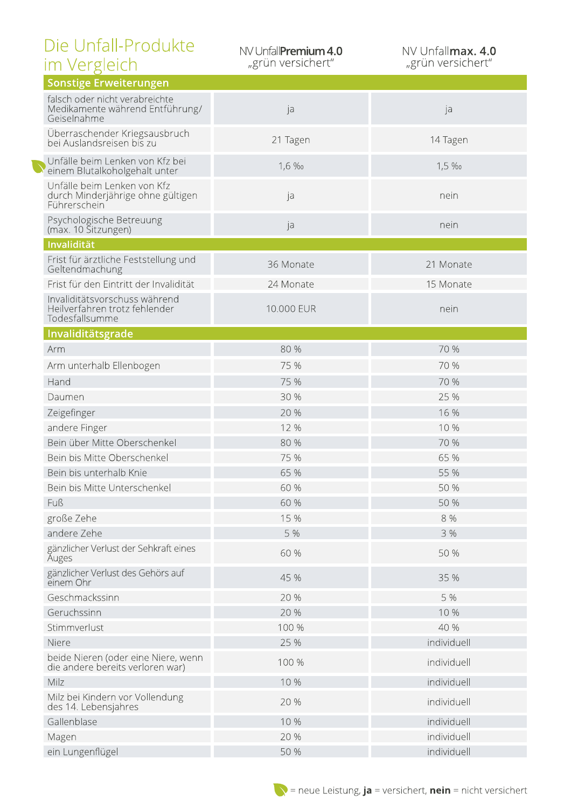| Die Unfall-Produkte<br>im Vergleich                                              | NV UnfallPremium 4.0<br>"grün versichert" | NV Unfallmax. 4.0<br>"grün versichert" |
|----------------------------------------------------------------------------------|-------------------------------------------|----------------------------------------|
| <b>Sonstige Erweiterungen</b>                                                    |                                           |                                        |
| falsch oder nicht verabreichte<br>Medikamente während Entführung/<br>Geiselnahme | ja                                        | ja                                     |
| Überraschender Kriegsausbruch<br>bei Auslandsreisen bis zu                       | 21 Tagen                                  | 14 Tagen                               |
| Unfälle beim Lenken von Kfz bei<br>einem Blutalkoholgehalt unter                 | 1,6 %                                     | 1,5 %                                  |
| Unfälle beim Lenken von Kfz<br>durch Minderjährige ohne gültigen<br>Führerschein | ja                                        | nein                                   |
| Psychologische Betreuung<br>(max. 10 Sitzungen)                                  | ja                                        | nein                                   |
| Invalidität                                                                      |                                           |                                        |
| Frist für ärztliche Feststellung und<br>Geltendmachung                           | 36 Monate                                 | 21 Monate                              |
| Frist für den Eintritt der Invalidität                                           | 24 Monate                                 | 15 Monate                              |
| Invaliditätsvorschuss während<br>Heilverfahren trotz fehlender<br>Todesfallsumme | 10.000 EUR                                | nein                                   |
| Invaliditätsgrade                                                                |                                           |                                        |
| Arm                                                                              | 80 %                                      | 70 %                                   |
| Arm unterhalb Ellenbogen                                                         | 75 %                                      | 70 %                                   |
| Hand                                                                             | 75 %                                      | 70 %                                   |
| Daumen                                                                           | 30 %                                      | 25 %                                   |
| Zeigefinger                                                                      | 20 %                                      | 16 %                                   |
| andere Finger                                                                    | 12 %                                      | 10 %                                   |
| Bein über Mitte Oberschenkel                                                     | 80 %                                      | 70 %                                   |
| Bein bis Mitte Oberschenkel                                                      | 75 %                                      | 65 %                                   |
| Bein bis unterhalb Knie                                                          | 65 %                                      | 55 %                                   |
| Bein bis Mitte Unterschenkel                                                     | 60 %                                      | 50 %                                   |
| Fuß                                                                              | 60 %                                      | 50 %                                   |
| große Zehe                                                                       | 15 %                                      | 8 %                                    |
| andere Zehe                                                                      | 5 %                                       | 3 %                                    |
| gänzlicher Verlust der Sehkraft eines<br><b>Auges</b>                            | 60 %                                      | 50 %                                   |
| gänzlicher Verlust des Gehörs auf<br>einem Ohr                                   | 45 %                                      | 35 %                                   |
| Geschmackssinn                                                                   | 20 %                                      | 5 %                                    |
| Geruchssinn                                                                      | 20 %                                      | 10 %                                   |
| Stimmverlust                                                                     | 100 %                                     | 40 %                                   |
| Niere                                                                            | 25 %                                      | individuell                            |
| beide Nieren (oder eine Niere, wenn<br>die andere bereits verloren war)          | 100 %                                     | individuell                            |
| Milz                                                                             | 10 %                                      | individuell                            |
| Milz bei Kindern vor Vollendung<br>des 14. Lebensjahres                          | 20 %                                      | individuell                            |
| Gallenblase                                                                      | 10 %                                      | individuell                            |
| Magen                                                                            | 20 %                                      | individuell                            |
| ein Lungenflügel                                                                 | 50 %                                      | individuell                            |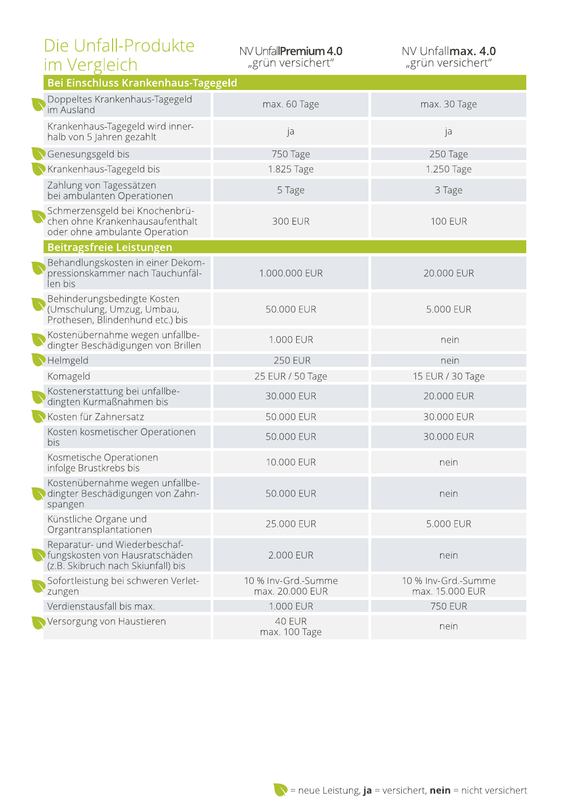| Die Unfall-Produkte |
|---------------------|
| im Vergleich        |

NV Unfall**max. 4.0**<br>"grün versichert"

| Bei Einschluss Krankennaus-Tagegeld                                                                    |                                        |                                        |
|--------------------------------------------------------------------------------------------------------|----------------------------------------|----------------------------------------|
| Doppeltes Krankenhaus-Tagegeld<br>im Ausland                                                           | max. 60 Tage                           | max. 30 Tage                           |
| Krankenhaus-Tagegeld wird inner-<br>halb von 5 Jahren gezahlt                                          | ja                                     | ja                                     |
| Genesungsgeld bis                                                                                      | 750 Tage                               | 250 Tage                               |
| Krankenhaus-Tagegeld bis                                                                               | 1.825 Tage                             | 1.250 Tage                             |
| Zahlung von Tagessätzen<br>bei ambulanten Operationen                                                  | 5 Tage                                 | 3 Tage                                 |
| Schmerzensgeld bei Knochenbrü-<br>chen ohne Krankenhausaufenthalt<br>oder ohne ambulante Operation     | <b>300 EUR</b>                         | <b>100 EUR</b>                         |
| <b>Beitragsfreie Leistungen</b>                                                                        |                                        |                                        |
| Behandlungskosten in einer Dekom-<br>pressionskämmer nach Tauchunfäl-<br>len bis                       | 1.000.000 EUR                          | 20.000 EUR                             |
| Behinderungsbedingte Kosten<br>(Umschulung, Umzug, Umbau,<br>Prothesen, Blindenhund etc.) bis          | 50.000 EUR                             | 5.000 EUR                              |
| Kostenübernahme wegen unfallbe-<br>dingter Beschädigungen von Brillen                                  | 1.000 EUR                              | nein                                   |
| Helmgeld                                                                                               | <b>250 EUR</b>                         | nein                                   |
| Komageld                                                                                               | 25 EUR / 50 Tage                       | 15 EUR / 30 Tage                       |
| Kostenerstattung bei unfallbe-<br>dingten Kurmaßnahmen bis                                             | 30.000 EUR                             | 20.000 EUR                             |
| Kosten für Zahnersatz                                                                                  | 50.000 EUR                             | 30.000 EUR                             |
| Kosten kosmetischer Operationen<br>bis                                                                 | 50.000 EUR                             | 30.000 EUR                             |
| Kosmetische Operationen<br>infolge Brustkrebs bis                                                      | 10.000 EUR                             | nein                                   |
| Kostenübernahme wegen unfallbe-<br>dingter Beschädigungen von Zahn-<br>spangen                         | 50.000 EUR                             | nein                                   |
| Künstliche Organe und<br>Organtransplantationen                                                        | 25.000 EUR                             | 5.000 EUR                              |
| Reparatur- und Wiederbeschaf-<br>Vfungskosten von Hausratschäden<br>(z.B. Skibruch nach Skiunfall) bis | 2.000 EUR                              | nein                                   |
| Sofortleistung bei schweren Verlet-<br>zungen                                                          | 10 % Inv-Grd.-Summe<br>max. 20.000 EUR | 10 % Inv-Grd.-Summe<br>max. 15.000 EUR |
| Verdienstausfall bis max.                                                                              | 1.000 EUR                              | <b>750 EUR</b>                         |
| Versorgung von Haustieren                                                                              | 40 EUR<br>max. 100 Tage                | nein                                   |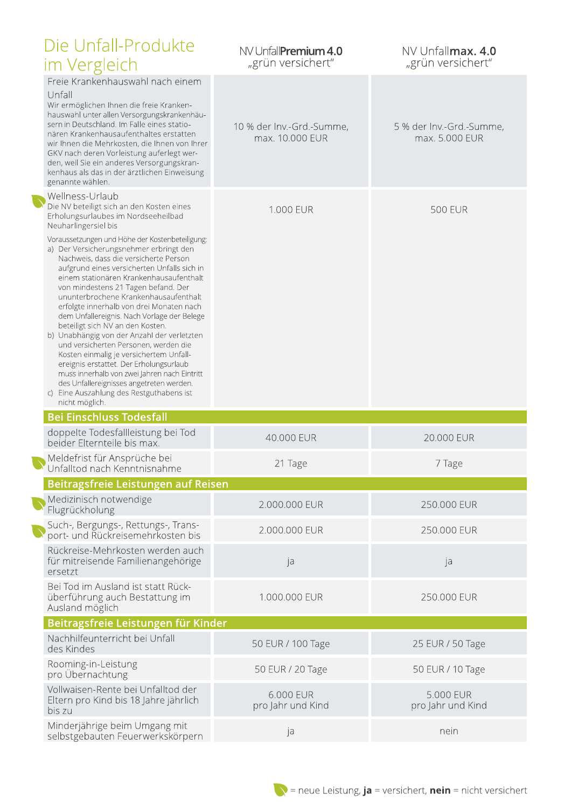| Die Unfall-Produkte<br>im Vergleich                                                                                                                                                                                                                                                                                                                                                                                                                                                                                                                                                                                                                                                                                                                                                                                                                                                                                 | NV UnfallPremium 4.0<br>"grün versichert"    | NV Unfallmax. 4.0<br>"grün versichert"     |
|---------------------------------------------------------------------------------------------------------------------------------------------------------------------------------------------------------------------------------------------------------------------------------------------------------------------------------------------------------------------------------------------------------------------------------------------------------------------------------------------------------------------------------------------------------------------------------------------------------------------------------------------------------------------------------------------------------------------------------------------------------------------------------------------------------------------------------------------------------------------------------------------------------------------|----------------------------------------------|--------------------------------------------|
| Freie Krankenhauswahl nach einem<br>Unfall<br>Wir ermöglichen Ihnen die freie Kranken-<br>hauswahl unter allen Versorgungskrankenhäu-<br>sern in Deutschland. Im Falle eines statio-<br>nären Krankenhausaufenthaltes erstatten<br>wir Ihnen die Mehrkosten, die Ihnen von Ihrer<br>GKV nach deren Vorleistung auferlegt wer-<br>den, weil Sie ein anderes Versorgungskran-<br>kenhaus als das in der ärztlichen Einweisung<br>genannte wählen.                                                                                                                                                                                                                                                                                                                                                                                                                                                                     | 10 % der Inv.-Grd.-Summe,<br>max. 10.000 EUR | 5 % der Inv.-Grd.-Summe,<br>max. 5.000 EUR |
| Wellness-Urlaub<br>Die NV beteiligt sich an den Kosten eines<br>Erholungsurlaubes im Nordseeheilbad<br>Neuharlingersiel bis<br>Voraussetzungen und Höhe der Kostenbeteiligung:<br>a) Der Versicherungsnehmer erbringt den<br>Nachweis, dass die versicherte Person<br>aufgrund eines versicherten Unfalls sich in<br>einem stationären Krankenhausaufenthalt<br>von mindestens 21 Tagen befand. Der<br>ununterbrochene Krankenhausaufenthalt<br>erfolgte innerhalb von drei Monaten nach<br>dem Unfallereignis. Nach Vorlage der Belege<br>beteiligt sich NV an den Kosten.<br>b) Unabhängig von der Anzahl der verletzten<br>und versicherten Personen, werden die<br>Kosten einmalig je versichertem Unfall-<br>ereignis erstattet. Der Erholungsurlaub<br>muss innerhalb von zwei Jahren nach Eintritt<br>des Unfallereignisses angetreten werden.<br>c) Eine Auszahlung des Restguthabens ist<br>nicht möglich. | 1.000 EUR                                    | <b>500 EUR</b>                             |
|                                                                                                                                                                                                                                                                                                                                                                                                                                                                                                                                                                                                                                                                                                                                                                                                                                                                                                                     |                                              |                                            |
| <b>Bei Einschluss Todesfall</b>                                                                                                                                                                                                                                                                                                                                                                                                                                                                                                                                                                                                                                                                                                                                                                                                                                                                                     |                                              |                                            |
| doppelte Todesfallleistung bei Tod<br>beider Elternteile bis max.                                                                                                                                                                                                                                                                                                                                                                                                                                                                                                                                                                                                                                                                                                                                                                                                                                                   | 40.000 EUR                                   | 20.000 EUR                                 |
| Meldefrist für Ansprüche bei<br>Unfalltod nach Kenntnisnahme                                                                                                                                                                                                                                                                                                                                                                                                                                                                                                                                                                                                                                                                                                                                                                                                                                                        | 21 Tage                                      | 7 Tage                                     |
| Beitragsfreie Leistungen auf Reisen                                                                                                                                                                                                                                                                                                                                                                                                                                                                                                                                                                                                                                                                                                                                                                                                                                                                                 |                                              |                                            |
| Medizinisch notwendige<br>Flugrückholung                                                                                                                                                                                                                                                                                                                                                                                                                                                                                                                                                                                                                                                                                                                                                                                                                                                                            | 2.000.000 EUR                                | 250.000 EUR                                |
| Such-, Bergungs-, Rettungs-, Trans-<br>port- und Rückreisemehrkosten bis                                                                                                                                                                                                                                                                                                                                                                                                                                                                                                                                                                                                                                                                                                                                                                                                                                            | 2.000.000 EUR                                | 250.000 EUR                                |
| Rückreise-Mehrkosten werden auch<br>für mitreisende Familienangehörige<br>ersetzt                                                                                                                                                                                                                                                                                                                                                                                                                                                                                                                                                                                                                                                                                                                                                                                                                                   | ja                                           | ja                                         |
| Bei Tod im Ausland ist statt Rück-<br>überführung auch Bestattung im<br>Ausland möglich                                                                                                                                                                                                                                                                                                                                                                                                                                                                                                                                                                                                                                                                                                                                                                                                                             | 1.000.000 EUR                                | 250.000 EUR                                |
| Beitragsfreie Leistungen für Kinder                                                                                                                                                                                                                                                                                                                                                                                                                                                                                                                                                                                                                                                                                                                                                                                                                                                                                 |                                              |                                            |
| Nachhilfeunterricht bei Unfall<br>des Kindes                                                                                                                                                                                                                                                                                                                                                                                                                                                                                                                                                                                                                                                                                                                                                                                                                                                                        | 50 EUR / 100 Tage                            | 25 EUR / 50 Tage                           |
| Rooming-in-Leistung<br>pro Übernachtung                                                                                                                                                                                                                                                                                                                                                                                                                                                                                                                                                                                                                                                                                                                                                                                                                                                                             | 50 EUR / 20 Tage                             | 50 EUR / 10 Tage                           |
| Vollwaisen-Rente bei Unfalltod der<br>Eltern pro Kind bis 18 Jahre jährlich<br>bis zu<br>Minderjährige beim Umgang mit                                                                                                                                                                                                                                                                                                                                                                                                                                                                                                                                                                                                                                                                                                                                                                                              | 6.000 EUR<br>pro Jahr und Kind               | 5.000 EUR<br>pro Jahr und Kind             |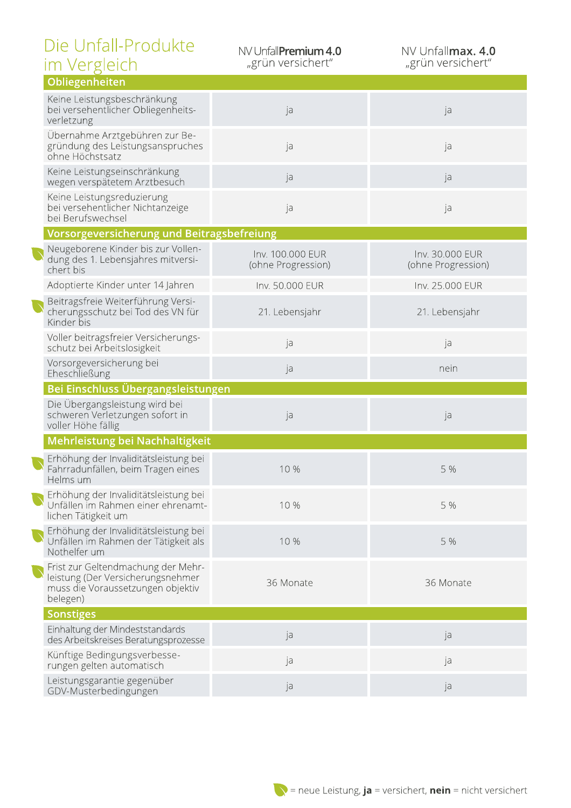| Die Unfall-Produkte<br>im Vergleich                                                                                      | NV UnfallPremium 4.0<br>"grün versichert" | NV Unfallmax. 4.0<br>"grün versichert" |
|--------------------------------------------------------------------------------------------------------------------------|-------------------------------------------|----------------------------------------|
| Obliegenheiten                                                                                                           |                                           |                                        |
| Keine Leistungsbeschränkung<br>bei versehentlicher Obliegenheits-<br>verletzung                                          | ja                                        | ja                                     |
| Übernahme Arztgebühren zur Be-<br>gründung des Leistungsanspruches<br>ohne Höchstsatz                                    | ja                                        | ja                                     |
| Keine Leistungseinschränkung<br>wegen verspätetem Arztbesuch                                                             | ja                                        | ja                                     |
| Keine Leistungsreduzierung<br>bei versehentlicher Nichtanzeige<br>bei Berufswechsel                                      | ja                                        | ja                                     |
| Vorsorgeversicherung und Beitragsbefreiung                                                                               |                                           |                                        |
| Neugeborene Kinder bis zur Vollen-<br>dung des 1. Lebensjahres mitversi-<br>chert bis                                    | Inv. 100.000 EUR<br>(ohne Progression)    | Inv. 30.000 EUR<br>(ohne Progression)  |
| Adoptierte Kinder unter 14 Jahren                                                                                        | Inv. 50.000 EUR                           | Inv. 25.000 EUR                        |
| Beitragsfreie Weiterführung Versi-<br>cherungsschutz bei Tod des VN für<br>Kinder bis                                    | 21. Lebensjahr                            | 21. Lebensjahr                         |
| Voller beitragsfreier Versicherungs-<br>schutz bei Arbeitslosigkeit                                                      | ja                                        | ja                                     |
| Vorsorgeversicherung bei<br>Eheschließung                                                                                | ja                                        | nein                                   |
| Bei Einschluss Übergangsleistungen                                                                                       |                                           |                                        |
| Die Übergangsleistung wird bei<br>schweren Verletzungen sofort in<br>voller Höhe fällig                                  | ja                                        | ja                                     |
| Mehrleistung bei Nachhaltigkeit                                                                                          |                                           |                                        |
| Erhöhung der Invaliditätsleistung bei<br>Fahrradunfällen, beim Tragen eines<br>Helms um                                  | 10 %                                      | 5 %                                    |
| Erhöhung der Invaliditätsleistung bei<br>Unfällen im Rahmen einer ehrenamt-<br>lichen Tätigkeit um                       | 10 %                                      | 5 %                                    |
| Erhöhung der Invaliditätsleistung bei<br>Unfällen im Rahmen der Tätigkeit als<br>Nothelfer um                            | 10 %                                      | 5 %                                    |
| Frist zur Geltendmachung der Mehr-<br>leistung (Der Versicherungsnehmer<br>muss die Voraussetzungen objektiv<br>belegen) | 36 Monate                                 | 36 Monate                              |
| <b>Sonstiges</b>                                                                                                         |                                           |                                        |
| Einhaltung der Mindeststandards<br>des Arbeitskreises Beratungsprozesse                                                  | ja                                        | ja                                     |
| Künftige Bedingungsverbesse-<br>rungen gelten automatisch                                                                | ja                                        | ja                                     |
| Leistungsgarantie gegenüber<br>GDV-Musterbedingungen                                                                     | ja                                        | ja                                     |